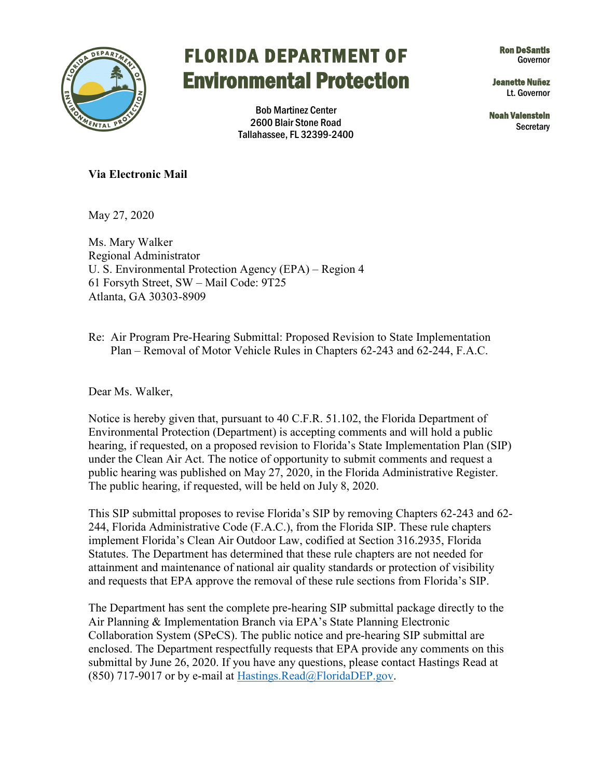

## FLORIDA DEPARTMENT OF Environmental Protection

Ron DeSantis Governor

Jeanette Nuñez Lt. Governor

Noah Valenstein **Secretary** 

Bob Martinez Center 2600 Blair Stone Road Tallahassee, FL 32399-2400

## **Via Electronic Mail**

May 27, 2020

Ms. Mary Walker Regional Administrator U. S. Environmental Protection Agency (EPA) – Region 4 61 Forsyth Street, SW – Mail Code: 9T25 Atlanta, GA 30303-8909

Re: Air Program Pre-Hearing Submittal: Proposed Revision to State Implementation Plan – Removal of Motor Vehicle Rules in Chapters 62-243 and 62-244, F.A.C.

Dear Ms. Walker,

Notice is hereby given that, pursuant to 40 C.F.R. 51.102, the Florida Department of Environmental Protection (Department) is accepting comments and will hold a public hearing, if requested, on a proposed revision to Florida's State Implementation Plan (SIP) under the Clean Air Act. The notice of opportunity to submit comments and request a public hearing was published on May 27, 2020, in the Florida Administrative Register. The public hearing, if requested, will be held on July 8, 2020.

This SIP submittal proposes to revise Florida's SIP by removing Chapters 62-243 and 62- 244, Florida Administrative Code (F.A.C.), from the Florida SIP. These rule chapters implement Florida's Clean Air Outdoor Law, codified at Section 316.2935, Florida Statutes. The Department has determined that these rule chapters are not needed for attainment and maintenance of national air quality standards or protection of visibility and requests that EPA approve the removal of these rule sections from Florida's SIP.

The Department has sent the complete pre-hearing SIP submittal package directly to the Air Planning & Implementation Branch via EPA's State Planning Electronic Collaboration System (SPeCS). The public notice and pre-hearing SIP submittal are enclosed. The Department respectfully requests that EPA provide any comments on this submittal by June 26, 2020. If you have any questions, please contact Hastings Read at (850) 717-9017 or by e-mail at Hastings.Read $@$ FloridaDEP.gov.